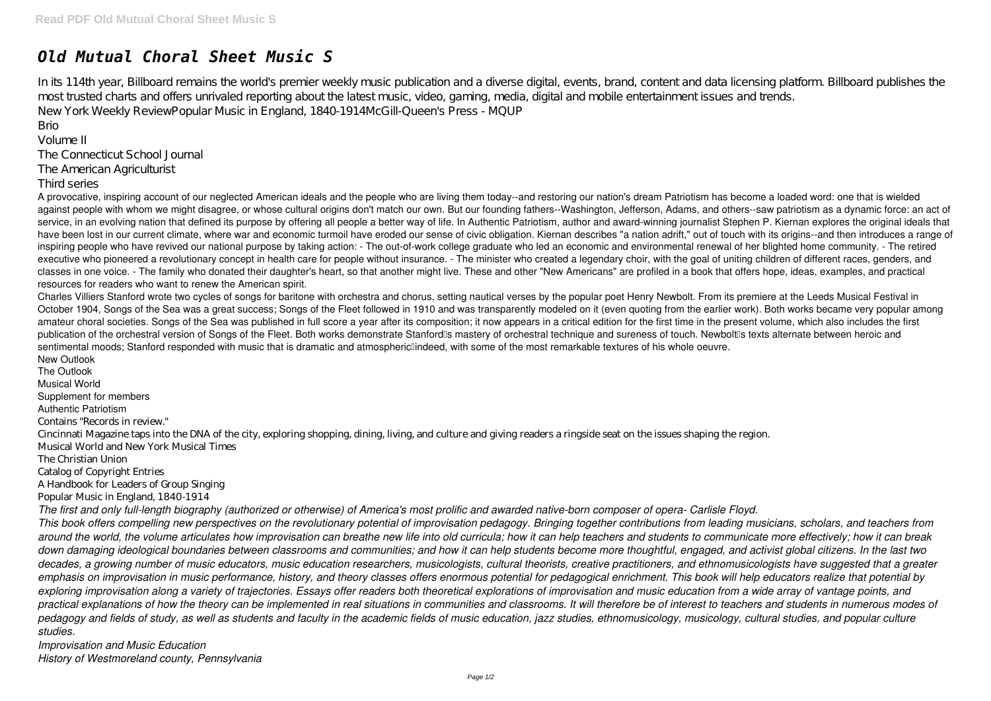## *Old Mutual Choral Sheet Music S*

In its 114th year, Billboard remains the world's premier weekly music publication and a diverse digital, events, brand, content and data licensing platform. Billboard publishes the most trusted charts and offers unrivaled reporting about the latest music, video, gaming, media, digital and mobile entertainment issues and trends. New York Weekly ReviewPopular Music in England, 1840-1914McGill-Queen's Press - MQUP

Brio

Volume II

The Connecticut School Journal

The American Agriculturist

## Third series

A provocative, inspiring account of our neglected American ideals and the people who are living them today--and restoring our nation's dream Patriotism has become a loaded word: one that is wielded against people with whom we might disagree, or whose cultural origins don't match our own. But our founding fathers--Washington, Jefferson, Adams, and others--saw patriotism as a dynamic force: an act of service, in an evolving nation that defined its purpose by offering all people a better way of life. In Authentic Patriotism, author and award-winning journalist Stephen P. Kiernan explores the original ideals that have been lost in our current climate, where war and economic turmoil have eroded our sense of civic obligation. Kiernan describes "a nation adrift," out of touch with its origins--and then introduces a range of inspiring people who have revived our national purpose by taking action: - The out-of-work college graduate who led an economic and environmental renewal of her blighted home community. - The retired executive who pioneered a revolutionary concept in health care for people without insurance. - The minister who created a legendary choir, with the goal of uniting children of different races, genders, and classes in one voice. - The family who donated their daughter's heart, so that another might live. These and other "New Americans" are profiled in a book that offers hope, ideas, examples, and practical resources for readers who want to renew the American spirit.

Charles Villiers Stanford wrote two cycles of songs for baritone with orchestra and chorus, setting nautical verses by the popular poet Henry Newbolt. From its premiere at the Leeds Musical Festival in October 1904, Songs of the Sea was a great success; Songs of the Fleet followed in 1910 and was transparently modeled on it (even quoting from the earlier work). Both works became very popular among amateur choral societies. Songs of the Sea was published in full score a year after its composition; it now appears in a critical edition for the first time in the present volume, which also includes the first publication of the orchestral version of Songs of the Fleet. Both works demonstrate Stanford is mastery of orchestral technique and sureness of touch. Newbolt is texts alternate between heroic and sentimental moods; Stanford responded with music that is dramatic and atmosphericlindeed, with some of the most remarkable textures of his whole oeuvre. New Outlook

The Outlook Musical World Supplement for members Authentic Patriotism Contains "Records in review." Cincinnati Magazine taps into the DNA of the city, exploring shopping, dining, living, and culture and giving readers a ringside seat on the issues shaping the region. Musical World and New York Musical Times The Christian Union Catalog of Copyright Entries A Handbook for Leaders of Group Singing Popular Music in England, 1840-1914 *The first and only full-length biography (authorized or otherwise) of America's most prolific and awarded native-born composer of opera- Carlisle Floyd. This book offers compelling new perspectives on the revolutionary potential of improvisation pedagogy. Bringing together contributions from leading musicians, scholars, and teachers from around the world, the volume articulates how improvisation can breathe new life into old curricula; how it can help teachers and students to communicate more effectively; how it can break down damaging ideological boundaries between classrooms and communities; and how it can help students become more thoughtful, engaged, and activist global citizens. In the last two decades, a growing number of music educators, music education researchers, musicologists, cultural theorists, creative practitioners, and ethnomusicologists have suggested that a greater emphasis on improvisation in music performance, history, and theory classes offers enormous potential for pedagogical enrichment. This book will help educators realize that potential by exploring improvisation along a variety of trajectories. Essays offer readers both theoretical explorations of improvisation and music education from a wide array of vantage points, and practical explanations of how the theory can be implemented in real situations in communities and classrooms. It will therefore be of interest to teachers and students in numerous modes of pedagogy and fields of study, as well as students and faculty in the academic fields of music education, jazz studies, ethnomusicology, musicology, cultural studies, and popular culture studies.*

*Improvisation and Music Education History of Westmoreland county, Pennsylvania*